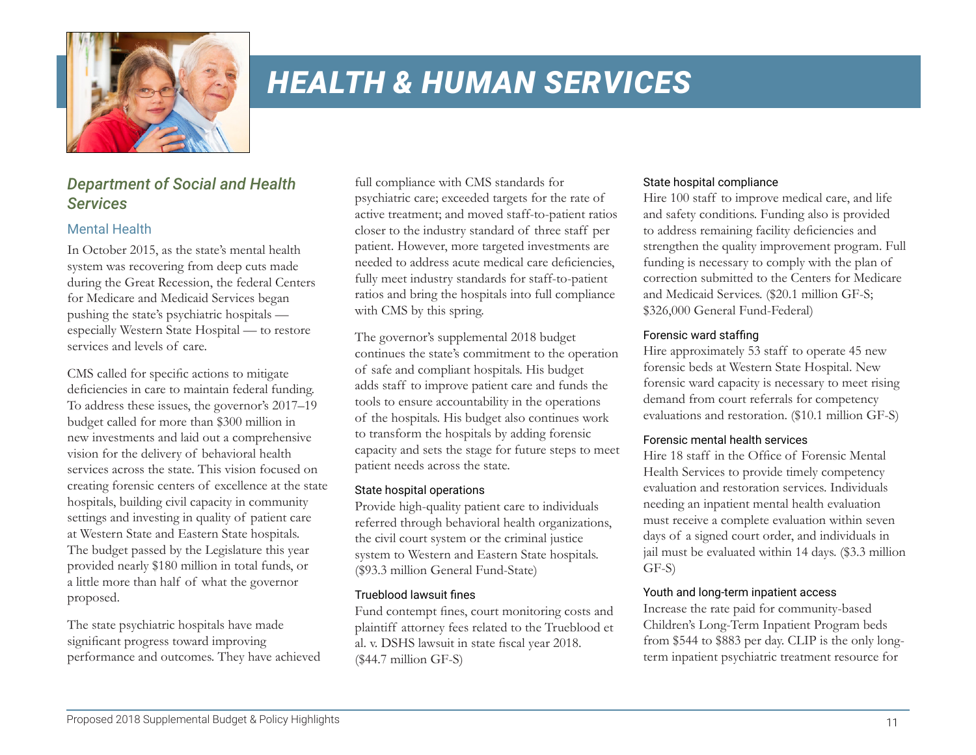

# *Department of Social and Health Services*

## Mental Health

In October 2015, as the state's mental health system was recovering from deep cuts made during the Great Recession, the federal Centers for Medicare and Medicaid Services began pushing the state's psychiatric hospitals especially Western State Hospital — to restore services and levels of care.

CMS called for specific actions to mitigate deficiencies in care to maintain federal funding. To address these issues, the governor's 2017–19 budget called for more than \$300 million in new investments and laid out a comprehensive vision for the delivery of behavioral health services across the state. This vision focused on creating forensic centers of excellence at the state hospitals, building civil capacity in community settings and investing in quality of patient care at Western State and Eastern State hospitals. The budget passed by the Legislature this year provided nearly \$180 million in total funds, or a little more than half of what the governor proposed.

The state psychiatric hospitals have made significant progress toward improving performance and outcomes. They have achieved full compliance with CMS standards for psychiatric care; exceeded targets for the rate of active treatment; and moved staff-to-patient ratios closer to the industry standard of three staff per patient. However, more targeted investments are needed to address acute medical care deficiencies, fully meet industry standards for staff-to-patient ratios and bring the hospitals into full compliance with CMS by this spring.

The governor's supplemental 2018 budget continues the state's commitment to the operation of safe and compliant hospitals. His budget adds staff to improve patient care and funds the tools to ensure accountability in the operations of the hospitals. His budget also continues work to transform the hospitals by adding forensic capacity and sets the stage for future steps to meet patient needs across the state.

#### State hospital operations

Provide high-quality patient care to individuals referred through behavioral health organizations, the civil court system or the criminal justice system to Western and Eastern State hospitals. (\$93.3 million General Fund-State)

#### Trueblood lawsuit fines

Fund contempt fines, court monitoring costs and plaintiff attorney fees related to the Trueblood et al. v. DSHS lawsuit in state fiscal year 2018. (\$44.7 million GF-S)

#### State hospital compliance

Hire 100 staff to improve medical care, and life and safety conditions. Funding also is provided to address remaining facility deficiencies and strengthen the quality improvement program. Full funding is necessary to comply with the plan of correction submitted to the Centers for Medicare and Medicaid Services. (\$20.1 million GF-S; \$326,000 General Fund-Federal)

#### Forensic ward staffing

Hire approximately 53 staff to operate 45 new forensic beds at Western State Hospital. New forensic ward capacity is necessary to meet rising demand from court referrals for competency evaluations and restoration. (\$10.1 million GF-S)

#### Forensic mental health services

Hire 18 staff in the Office of Forensic Mental Health Services to provide timely competency evaluation and restoration services. Individuals needing an inpatient mental health evaluation must receive a complete evaluation within seven days of a signed court order, and individuals in jail must be evaluated within 14 days. (\$3.3 million GF-S)

#### Youth and long-term inpatient access

Increase the rate paid for community-based Children's Long-Term Inpatient Program beds from \$544 to \$883 per day. CLIP is the only longterm inpatient psychiatric treatment resource for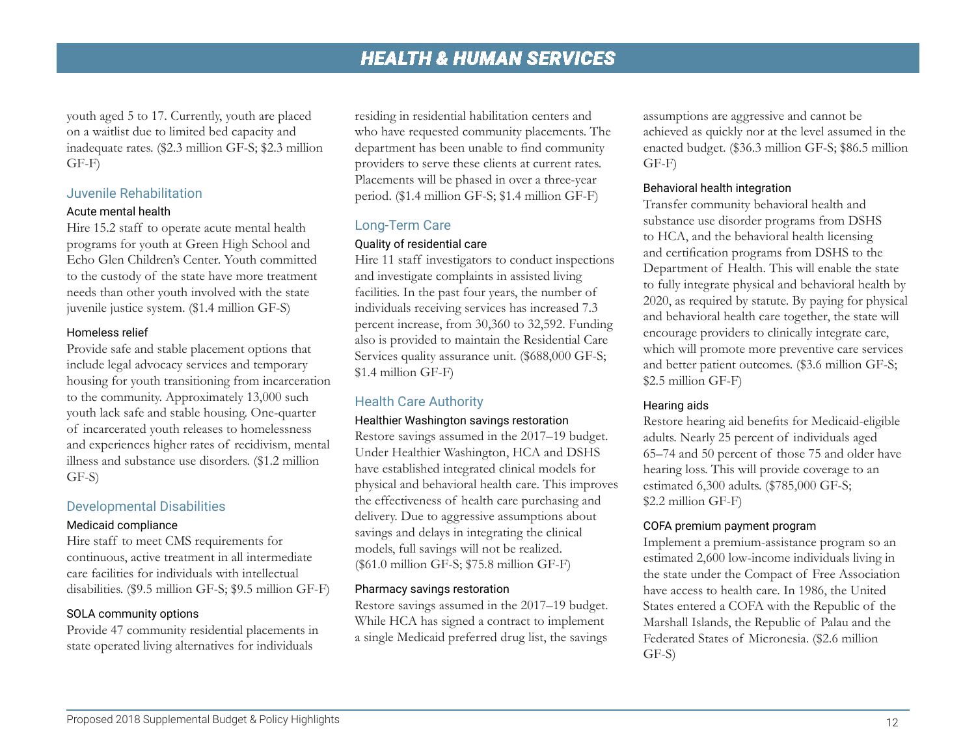youth aged 5 to 17. Currently, youth are placed on a waitlist due to limited bed capacity and inadequate rates. (\$2.3 million GF-S; \$2.3 million GF-F)

#### Juvenile Rehabilitation

#### Acute mental health

Hire 15.2 staff to operate acute mental health programs for youth at Green High School and Echo Glen Children's Center. Youth committed to the custody of the state have more treatment needs than other youth involved with the state juvenile justice system. (\$1.4 million GF-S)

#### Homeless relief

Provide safe and stable placement options that include legal advocacy services and temporary housing for youth transitioning from incarceration to the community. Approximately 13,000 such youth lack safe and stable housing. One-quarter of incarcerated youth releases to homelessness and experiences higher rates of recidivism, mental illness and substance use disorders. (\$1.2 million GF-S)

#### Developmental Disabilities

#### Medicaid compliance

Hire staff to meet CMS requirements for continuous, active treatment in all intermediate care facilities for individuals with intellectual disabilities. (\$9.5 million GF-S; \$9.5 million GF-F)

#### SOLA community options

Provide 47 community residential placements in state operated living alternatives for individuals

residing in residential habilitation centers and who have requested community placements. The department has been unable to find community providers to serve these clients at current rates. Placements will be phased in over a three-year period. (\$1.4 million GF-S; \$1.4 million GF-F)

#### Long-Term Care

#### Quality of residential care

Hire 11 staff investigators to conduct inspections and investigate complaints in assisted living facilities. In the past four years, the number of individuals receiving services has increased 7.3 percent increase, from 30,360 to 32,592. Funding also is provided to maintain the Residential Care Services quality assurance unit. (\$688,000 GF-S; \$1.4 million GF-F)

## Health Care Authority

#### Healthier Washington savings restoration

Restore savings assumed in the 2017–19 budget. Under Healthier Washington, HCA and DSHS have established integrated clinical models for physical and behavioral health care. This improves the effectiveness of health care purchasing and delivery. Due to aggressive assumptions about savings and delays in integrating the clinical models, full savings will not be realized. (\$61.0 million GF-S; \$75.8 million GF-F)

#### Pharmacy savings restoration

Restore savings assumed in the 2017–19 budget. While HCA has signed a contract to implement a single Medicaid preferred drug list, the savings assumptions are aggressive and cannot be achieved as quickly nor at the level assumed in the enacted budget. (\$36.3 million GF-S; \$86.5 million GF-F)

#### Behavioral health integration

Transfer community behavioral health and substance use disorder programs from DSHS to HCA, and the behavioral health licensing and certification programs from DSHS to the Department of Health. This will enable the state to fully integrate physical and behavioral health by 2020, as required by statute. By paying for physical and behavioral health care together, the state will encourage providers to clinically integrate care, which will promote more preventive care services and better patient outcomes. (\$3.6 million GF-S; \$2.5 million GF-F)

#### Hearing aids

Restore hearing aid benefits for Medicaid-eligible adults. Nearly 25 percent of individuals aged 65–74 and 50 percent of those 75 and older have hearing loss. This will provide coverage to an estimated 6,300 adults. (\$785,000 GF-S; \$2.2 million GF-F)

#### COFA premium payment program

Implement a premium-assistance program so an estimated 2,600 low-income individuals living in the state under the Compact of Free Association have access to health care. In 1986, the United States entered a COFA with the Republic of the Marshall Islands, the Republic of Palau and the Federated States of Micronesia. (\$2.6 million GF-S)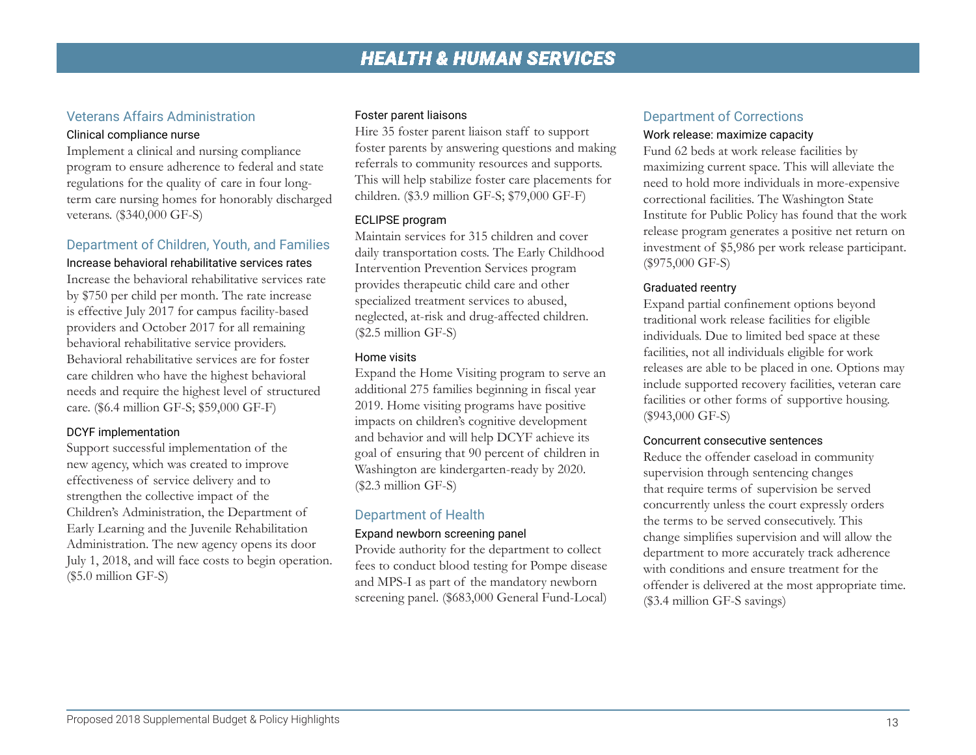# Veterans Affairs Administration

#### Clinical compliance nurse

Implement a clinical and nursing compliance program to ensure adherence to federal and state regulations for the quality of care in four longterm care nursing homes for honorably discharged veterans. (\$340,000 GF-S)

## Department of Children, Youth, and Families

Increase behavioral rehabilitative services rates Increase the behavioral rehabilitative services rate by \$750 per child per month. The rate increase is effective July 2017 for campus facility-based providers and October 2017 for all remaining behavioral rehabilitative service providers. Behavioral rehabilitative services are for foster care children who have the highest behavioral needs and require the highest level of structured care. (\$6.4 million GF-S; \$59,000 GF-F)

#### DCYF implementation

Support successful implementation of the new agency, which was created to improve effectiveness of service delivery and to strengthen the collective impact of the Children's Administration, the Department of Early Learning and the Juvenile Rehabilitation Administration. The new agency opens its door July 1, 2018, and will face costs to begin operation. (\$5.0 million GF-S)

#### Foster parent liaisons

Hire 35 foster parent liaison staff to support foster parents by answering questions and making referrals to community resources and supports. This will help stabilize foster care placements for children. (\$3.9 million GF-S; \$79,000 GF-F)

#### ECLIPSE program

Maintain services for 315 children and cover daily transportation costs. The Early Childhood Intervention Prevention Services program provides therapeutic child care and other specialized treatment services to abused, neglected, at-risk and drug-affected children. (\$2.5 million GF-S)

#### Home visits

Expand the Home Visiting program to serve an additional 275 families beginning in fiscal year 2019. Home visiting programs have positive impacts on children's cognitive development and behavior and will help DCYF achieve its goal of ensuring that 90 percent of children in Washington are kindergarten-ready by 2020. (\$2.3 million GF-S)

# Department of Health

#### Expand newborn screening panel

Provide authority for the department to collect fees to conduct blood testing for Pompe disease and MPS-I as part of the mandatory newborn screening panel. (\$683,000 General Fund-Local)

## Department of Corrections Work release: maximize capacity

Fund 62 beds at work release facilities by maximizing current space. This will alleviate the need to hold more individuals in more-expensive correctional facilities. The Washington State Institute for Public Policy has found that the work release program generates a positive net return on investment of \$5,986 per work release participant. (\$975,000 GF-S)

#### Graduated reentry

Expand partial confinement options beyond traditional work release facilities for eligible individuals. Due to limited bed space at these facilities, not all individuals eligible for work releases are able to be placed in one. Options may include supported recovery facilities, veteran care facilities or other forms of supportive housing. (\$943,000 GF-S)

#### Concurrent consecutive sentences

Reduce the offender caseload in community supervision through sentencing changes that require terms of supervision be served concurrently unless the court expressly orders the terms to be served consecutively. This change simplifies supervision and will allow the department to more accurately track adherence with conditions and ensure treatment for the offender is delivered at the most appropriate time. (\$3.4 million GF-S savings)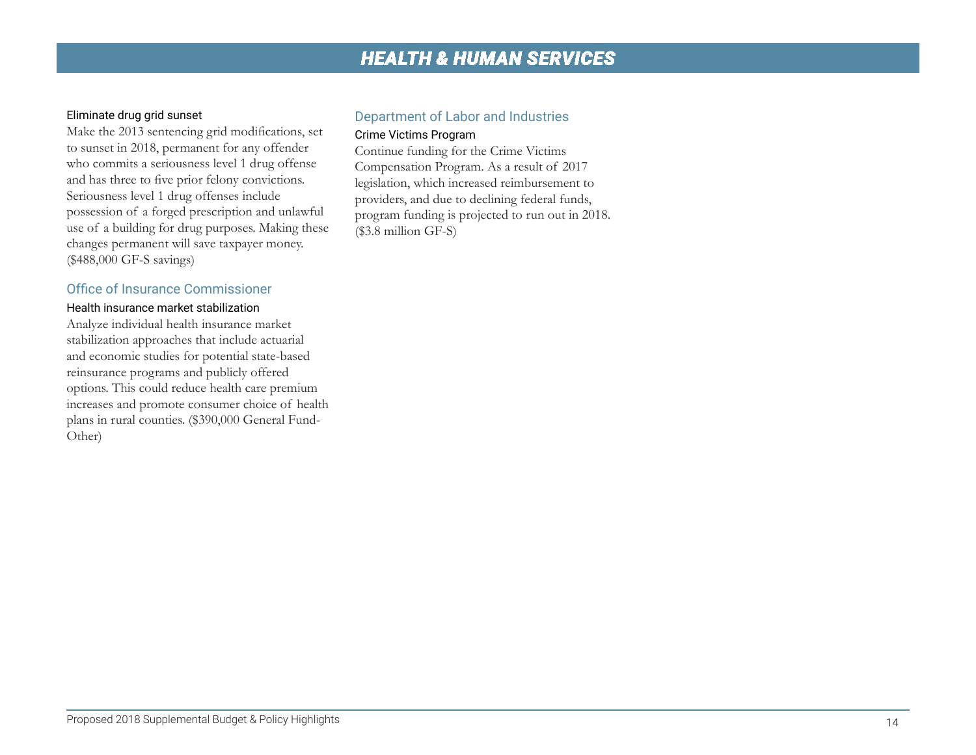#### Eliminate drug grid sunset

Make the 2013 sentencing grid modifications, set to sunset in 2018, permanent for any offender who commits a seriousness level 1 drug offense and has three to five prior felony convictions. Seriousness level 1 drug offenses include possession of a forged prescription and unlawful use of a building for drug purposes. Making these changes permanent will save taxpayer money. (\$488,000 GF-S savings)

#### Office of Insurance Commissioner

#### Health insurance market stabilization

Analyze individual health insurance market stabilization approaches that include actuarial and economic studies for potential state-based reinsurance programs and publicly offered options. This could reduce health care premium increases and promote consumer choice of health plans in rural counties. (\$390,000 General Fund-Other)

# Department of Labor and Industries

## Crime Victims Program

Continue funding for the Crime Victims Compensation Program. As a result of 2017 legislation, which increased reimbursement to providers, and due to declining federal funds, program funding is projected to run out in 2018. (\$3.8 million GF-S)